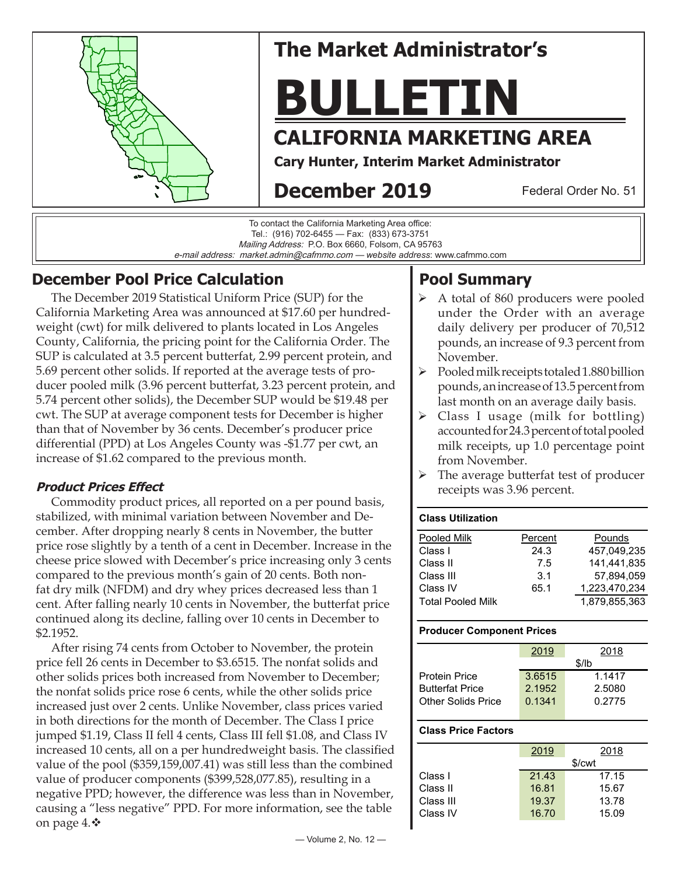

# **The Market Administrator's**

# **BULLETIN**

# **CALIFORNIA MARKETING AREA**

**Cary Hunter, Interim Market Administrator**

# **December 2019**

Federal Order No. 51

To contact the California Marketing Area office: Tel.: (916) 702-6455 — Fax: (833) 673-3751 Mailing Address: P.O. Box 6660, Folsom, CA 95763 e-mail address: market.admin@cafmmo.com — *website address*: www.cafmmo.com

# **December Pool Price Calculation**

 The December 2019 Statistical Uniform Price (SUP) for the California Marketing Area was announced at \$17.60 per hundredweight (cwt) for milk delivered to plants located in Los Angeles County, California, the pricing point for the California Order. The SUP is calculated at 3.5 percent butterfat, 2.99 percent protein, and 5.69 percent other solids. If reported at the average tests of producer pooled milk (3.96 percent butterfat, 3.23 percent protein, and 5.74 percent other solids), the December SUP would be \$19.48 per cwt. The SUP at average component tests for December is higher than that of November by 36 cents. December's producer price differential (PPD) at Los Angeles County was -\$1.77 per cwt, an increase of \$1.62 compared to the previous month.

### **Product Prices Effect**

Commodity product prices, all reported on a per pound basis, stabilized, with minimal variation between November and December. After dropping nearly 8 cents in November, the butter price rose slightly by a tenth of a cent in December. Increase in the cheese price slowed with December's price increasing only 3 cents compared to the previous month's gain of 20 cents. Both nonfat dry milk (NFDM) and dry whey prices decreased less than 1 cent. After falling nearly 10 cents in November, the butterfat price continued along its decline, falling over 10 cents in December to \$2.1952.

 After rising 74 cents from October to November, the protein price fell 26 cents in December to \$3.6515. The nonfat solids and other solids prices both increased from November to December; the nonfat solids price rose 6 cents, while the other solids price increased just over 2 cents. Unlike November, class prices varied in both directions for the month of December. The Class I price jumped \$1.19, Class II fell 4 cents, Class III fell \$1.08, and Class IV increased 10 cents, all on a per hundredweight basis. The classified value of the pool (\$359,159,007.41) was still less than the combined value of producer components (\$399,528,077.85), resulting in a negative PPD; however, the difference was less than in November, causing a "less negative" PPD. For more information, see the table on page  $4.$   $\bullet$ 

# **Pool Summary**

- $\triangleright$  A total of 860 producers were pooled under the Order with an average daily delivery per producer of 70,512 pounds, an increase of 9.3 percent from November.
- $\triangleright$  Pooled milk receipts totaled 1.880 billion pounds, an increase of 13.5 percent from last month on an average daily basis.
- $\triangleright$  Class I usage (milk for bottling) accounted for 24.3 percent of total pooled milk receipts, up 1.0 percentage point from November.
- $\triangleright$  The average butterfat test of producer receipts was 3.96 percent.

#### **Class Utilization**

| Pooled Milk              | Percent | Pounds        |
|--------------------------|---------|---------------|
| Class I                  | 24.3    | 457.049.235   |
| Class II                 | 7.5     | 141.441.835   |
| Class III                | 3.1     | 57.894.059    |
| Class IV                 | 65.1    | 1,223,470,234 |
| <b>Total Pooled Milk</b> |         | 1.879.855.363 |

#### **Producer Component Prices**

|                        | 2019   | 2018   |  |
|------------------------|--------|--------|--|
|                        | \$/lb  |        |  |
| <b>Protein Price</b>   | 3.6515 | 1.1417 |  |
| <b>Butterfat Price</b> | 2.1952 | 2.5080 |  |
| Other Solids Price     | 0.1341 | 0.2775 |  |
|                        |        |        |  |

#### **Class Price Factors**

|           | 2019  | 2018   |
|-----------|-------|--------|
|           |       | \$/cwt |
| Class I   | 21.43 | 17.15  |
| Class II  | 16.81 | 15.67  |
| Class III | 19.37 | 13.78  |
| Class IV  | 16.70 | 15.09  |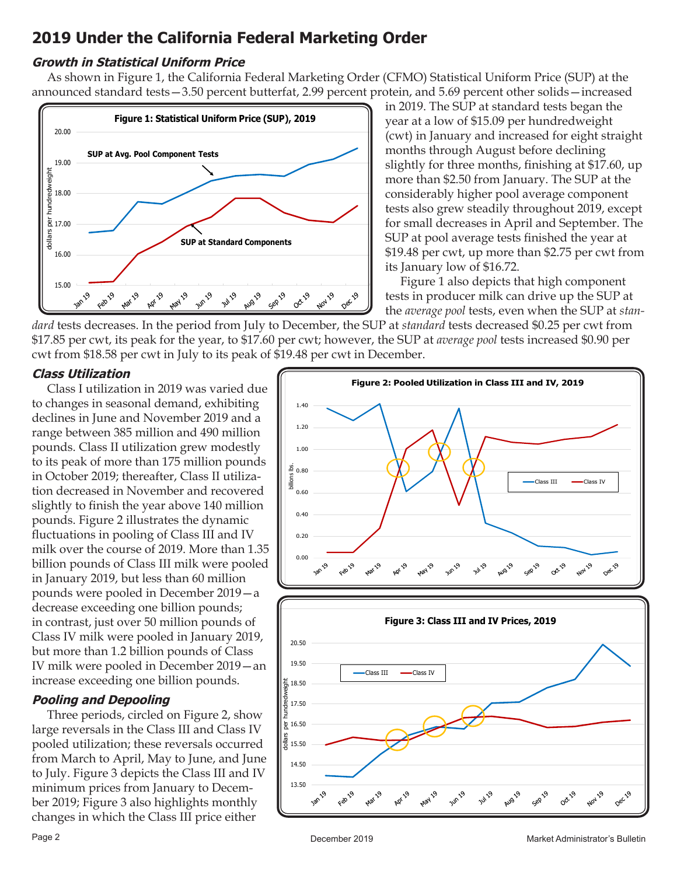## **2019 Under the California Federal Marketing Order**

#### **Growth in Statistical Uniform Price**

 As shown in Figure 1, the California Federal Marketing Order (CFMO) Statistical Uniform Price (SUP) at the announced standard tests—3.50 percent butterfat, 2.99 percent protein, and 5.69 percent other solids—increased



in 2019. The SUP at standard tests began the year at a low of \$15.09 per hundredweight (cwt) in January and increased for eight straight months through August before declining slightly for three months, finishing at \$17.60, up more than \$2.50 from January. The SUP at the considerably higher pool average component tests also grew steadily throughout 2019, except for small decreases in April and September. The SUP at pool average tests finished the year at \$19.48 per cwt, up more than \$2.75 per cwt from its January low of \$16.72.

 Figure 1 also depicts that high component tests in producer milk can drive up the SUP at the *average pool* tests, even when the SUP at *stan-*

*dard* tests decreases. In the period from July to December, the SUP at *standard* tests decreased \$0.25 per cwt from \$17.85 per cwt, its peak for the year, to \$17.60 per cwt; however, the SUP at *average pool* tests increased \$0.90 per cwt from \$18.58 per cwt in July to its peak of \$19.48 per cwt in December.

#### **Class Utilization**

 Class I utilization in 2019 was varied due to changes in seasonal demand, exhibiting declines in June and November 2019 and a range between 385 million and 490 million pounds. Class II utilization grew modestly to its peak of more than 175 million pounds in October 2019; thereafter, Class II utilization decreased in November and recovered slightly to finish the year above 140 million pounds. Figure 2 illustrates the dynamic fluctuations in pooling of Class III and IV milk over the course of 2019. More than 1.35 billion pounds of Class III milk were pooled in January 2019, but less than 60 million pounds were pooled in December 2019—a decrease exceeding one billion pounds; in contrast, just over 50 million pounds of Class IV milk were pooled in January 2019, but more than 1.2 billion pounds of Class IV milk were pooled in December 2019—an increase exceeding one billion pounds.

#### **Pooling and Depooling**

 Three periods, circled on Figure 2, show large reversals in the Class III and Class IV pooled utilization; these reversals occurred from March to April, May to June, and June to July. Figure 3 depicts the Class III and IV minimum prices from January to December 2019; Figure 3 also highlights monthly changes in which the Class III price either

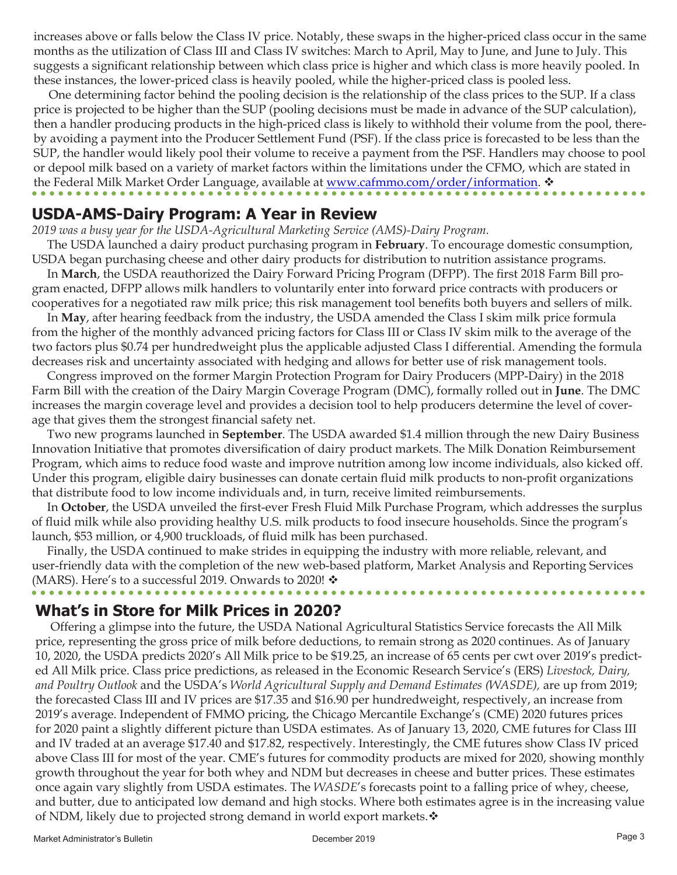increases above or falls below the Class IV price. Notably, these swaps in the higher-priced class occur in the same months as the utilization of Class III and Class IV switches: March to April, May to June, and June to July. This suggests a significant relationship between which class price is higher and which class is more heavily pooled. In these instances, the lower-priced class is heavily pooled, while the higher-priced class is pooled less.

 One determining factor behind the pooling decision is the relationship of the class prices to the SUP. If a class price is projected to be higher than the SUP (pooling decisions must be made in advance of the SUP calculation), then a handler producing products in the high-priced class is likely to withhold their volume from the pool, thereby avoiding a payment into the Producer Settlement Fund (PSF). If the class price is forecasted to be less than the SUP, the handler would likely pool their volume to receive a payment from the PSF. Handlers may choose to pool or depool milk based on a variety of market factors within the limitations under the CFMO, which are stated in the Federal Milk Market Order Language, available at www.cafmmo.com/order/information. \*

## **USDA-AMS-Dairy Program: A Year in Review**

*2019 was a busy year for the USDA-Agricultural Marketing Service (AMS)-Dairy Program.*

 The USDA launched a dairy product purchasing program in **February**. To encourage domestic consumption, USDA began purchasing cheese and other dairy products for distribution to nutrition assistance programs.

 In **March**, the USDA reauthorized the Dairy Forward Pricing Program (DFPP). The first 2018 Farm Bill program enacted, DFPP allows milk handlers to voluntarily enter into forward price contracts with producers or cooperatives for a negotiated raw milk price; this risk management tool benefits both buyers and sellers of milk.

 In **May**, after hearing feedback from the industry, the USDA amended the Class I skim milk price formula from the higher of the monthly advanced pricing factors for Class III or Class IV skim milk to the average of the two factors plus \$0.74 per hundredweight plus the applicable adjusted Class I differential. Amending the formula decreases risk and uncertainty associated with hedging and allows for better use of risk management tools.

 Congress improved on the former Margin Protection Program for Dairy Producers (MPP-Dairy) in the 2018 Farm Bill with the creation of the Dairy Margin Coverage Program (DMC), formally rolled out in **June**. The DMC increases the margin coverage level and provides a decision tool to help producers determine the level of coverage that gives them the strongest financial safety net.

 Two new programs launched in **September**. The USDA awarded \$1.4 million through the new Dairy Business Innovation Initiative that promotes diversification of dairy product markets. The Milk Donation Reimbursement Program, which aims to reduce food waste and improve nutrition among low income individuals, also kicked off. Under this program, eligible dairy businesses can donate certain fluid milk products to non-profit organizations that distribute food to low income individuals and, in turn, receive limited reimbursements.

 In **October**, the USDA unveiled the first-ever Fresh Fluid Milk Purchase Program, which addresses the surplus of fluid milk while also providing healthy U.S. milk products to food insecure households. Since the program's launch, \$53 million, or 4,900 truckloads, of fluid milk has been purchased.

 Finally, the USDA continued to make strides in equipping the industry with more reliable, relevant, and user-friendly data with the completion of the new web-based platform, Market Analysis and Reporting Services (MARS). Here's to a successful 2019. Onwards to 2020!  $\mathbf{\hat{v}}$ 

## **What's in Store for Milk Prices in 2020?**

 Offering a glimpse into the future, the USDA National Agricultural Statistics Service forecasts the All Milk price, representing the gross price of milk before deductions, to remain strong as 2020 continues. As of January 10, 2020, the USDA predicts 2020's All Milk price to be \$19.25, an increase of 65 cents per cwt over 2019's predicted All Milk price. Class price predictions, as released in the Economic Research Service's (ERS) *Livestock, Dairy, and Poultry Outlook* and the USDA's *World Agricultural Supply and Demand Estimates (WASDE),* are up from 2019; the forecasted Class III and IV prices are \$17.35 and \$16.90 per hundredweight, respectively, an increase from 2019's average. Independent of FMMO pricing, the Chicago Mercantile Exchange's (CME) 2020 futures prices for 2020 paint a slightly different picture than USDA estimates. As of January 13, 2020, CME futures for Class III and IV traded at an average \$17.40 and \$17.82, respectively. Interestingly, the CME futures show Class IV priced above Class III for most of the year. CME's futures for commodity products are mixed for 2020, showing monthly growth throughout the year for both whey and NDM but decreases in cheese and butter prices. These estimates once again vary slightly from USDA estimates. The *WASDE*'s forecasts point to a falling price of whey, cheese, and butter, due to anticipated low demand and high stocks. Where both estimates agree is in the increasing value of NDM, likely due to projected strong demand in world export markets. $\mathbf{\hat{v}}$